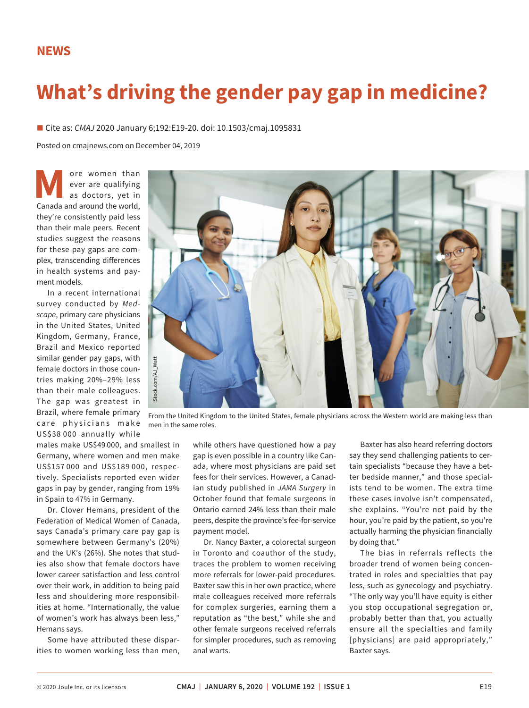## **NEWS**

## **What's driving the gender pay gap in medicine?**

■ Cite as: *CMAJ* 2020 January 6;192:E19-20. doi: 10.1503/cmaj.1095831

Posted on cmajnews.com on December 04, 2019

**M** ore women than ever are qualifying as doctors, yet in Canada and around the world, ever are qualifying as doctors, yet in they're consistently paid less than their male peers. Recent studies suggest the reasons for these pay gaps are complex, transcending differences in health systems and payment models.

In a recent international survey conducted by *Medscape*, primary care physicians in the United States, United Kingdom, Germany, France, Brazil and Mexico reported similar gender pay gaps, with female doctors in those countries making 20%–29% less than their male colleagues. The gap was greatest in Brazil, where female primary care physicians make US\$38 000 annually while

males make US\$49 000, and smallest in Germany, where women and men make US\$157 000 and US\$189 000, respectively. Specialists reported even wider gaps in pay by gender, ranging from 19% in Spain to 47% in Germany.

Dr. Clover Hemans, president of the Federation of Medical Women of Canada, says Canada's primary care pay gap is somewhere between Germany's (20%) and the UK's (26%). She notes that studies also show that female doctors have lower career satisfaction and less control over their work, in addition to being paid less and shouldering more responsibilities at home. "Internationally, the value of women's work has always been less," Hemans says.

Some have attributed these disparities to women working less than men,



From the United Kingdom to the United States, female physicians across the Western world are making less than

while others have questioned how a pay gap is even possible in a country like Canada, where most physicians are paid set fees for their services. However, a Canadian study published in *JAMA Surgery* in October found that female surgeons in Ontario earned 24% less than their male peers, despite the province's fee-for-service payment model.

Dr. Nancy Baxter, a colorectal surgeon in Toronto and coauthor of the study, traces the problem to women receiving more referrals for lower-paid procedures. Baxter saw this in her own practice, where male colleagues received more referrals for complex surgeries, earning them a reputation as "the best," while she and other female surgeons received referrals for simpler procedures, such as removing anal warts.

Baxter has also heard referring doctors say they send challenging patients to certain specialists "because they have a better bedside manner," and those specialists tend to be women. The extra time these cases involve isn't compensated, she explains. "You're not paid by the hour, you're paid by the patient, so you're actually harming the physician financially by doing that."

The bias in referrals reflects the broader trend of women being concentrated in roles and specialties that pay less, such as gynecology and psychiatry. "The only way you'll have equity is either you stop occupational segregation or, probably better than that, you actually ensure all the specialties and family [physicians] are paid appropriately," Baxter says.